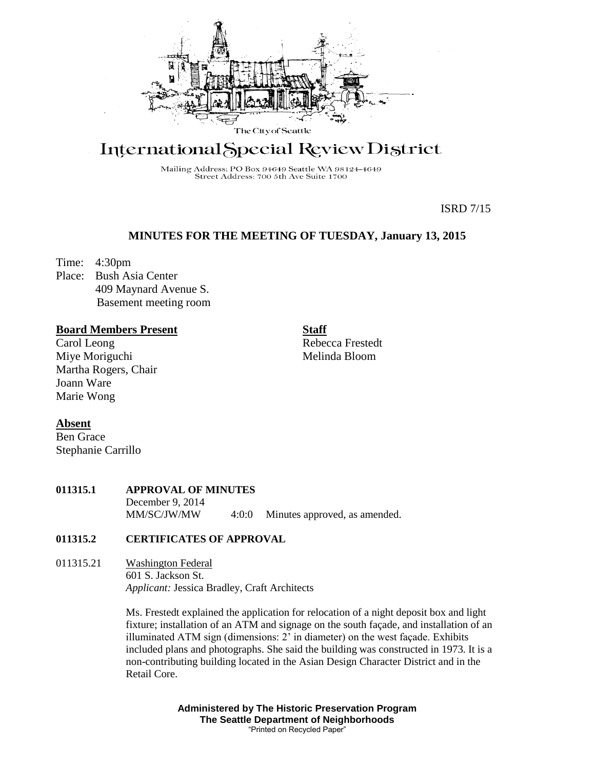

# International Special Review District

Mailing Address: PO Box 94649 Seattle WA 98124-4649 Street Address: 700 5th Ave Suite 1700

ISRD 7/15

# **MINUTES FOR THE MEETING OF TUESDAY, January 13, 2015**

Time: 4:30pm

Place: Bush Asia Center 409 Maynard Avenue S. Basement meeting room

## **Board Members Present**

Carol Leong Miye Moriguchi Martha Rogers, Chair Joann Ware Marie Wong

Stephanie Carrillo

**Absent** Ben Grace

**Staff** Rebecca Frestedt

Melinda Bloom

**011315.1 APPROVAL OF MINUTES** December 9, 2014 MM/SC/JW/MW 4:0:0 Minutes approved, as amended.

# **011315.2 CERTIFICATES OF APPROVAL**

011315.21 Washington Federal 601 S. Jackson St. *Applicant:* Jessica Bradley, Craft Architects

> Ms. Frestedt explained the application for relocation of a night deposit box and light fixture; installation of an ATM and signage on the south façade, and installation of an illuminated ATM sign (dimensions: 2' in diameter) on the west façade. Exhibits included plans and photographs. She said the building was constructed in 1973. It is a non-contributing building located in the Asian Design Character District and in the Retail Core.

> > **Administered by The Historic Preservation Program The Seattle Department of Neighborhoods** "Printed on Recycled Paper"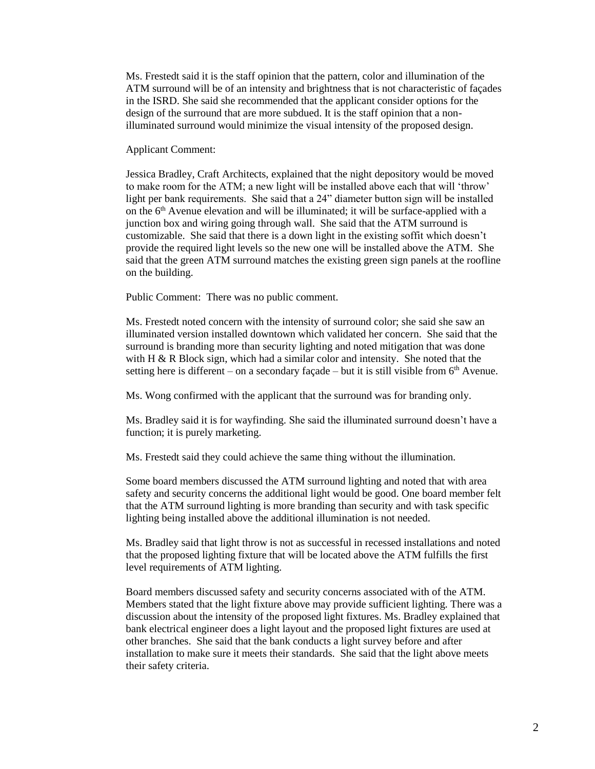Ms. Frestedt said it is the staff opinion that the pattern, color and illumination of the ATM surround will be of an intensity and brightness that is not characteristic of façades in the ISRD. She said she recommended that the applicant consider options for the design of the surround that are more subdued. It is the staff opinion that a nonilluminated surround would minimize the visual intensity of the proposed design.

Applicant Comment:

Jessica Bradley, Craft Architects, explained that the night depository would be moved to make room for the ATM; a new light will be installed above each that will 'throw' light per bank requirements. She said that a 24" diameter button sign will be installed on the 6th Avenue elevation and will be illuminated; it will be surface-applied with a junction box and wiring going through wall. She said that the ATM surround is customizable. She said that there is a down light in the existing soffit which doesn't provide the required light levels so the new one will be installed above the ATM. She said that the green ATM surround matches the existing green sign panels at the roofline on the building.

Public Comment: There was no public comment.

Ms. Frestedt noted concern with the intensity of surround color; she said she saw an illuminated version installed downtown which validated her concern. She said that the surround is branding more than security lighting and noted mitigation that was done with H & R Block sign, which had a similar color and intensity. She noted that the setting here is different – on a secondary façade – but it is still visible from 6th Avenue.

Ms. Wong confirmed with the applicant that the surround was for branding only.

Ms. Bradley said it is for wayfinding. She said the illuminated surround doesn't have a function; it is purely marketing.

Ms. Frestedt said they could achieve the same thing without the illumination.

Some board members discussed the ATM surround lighting and noted that with area safety and security concerns the additional light would be good. One board member felt that the ATM surround lighting is more branding than security and with task specific lighting being installed above the additional illumination is not needed.

Ms. Bradley said that light throw is not as successful in recessed installations and noted that the proposed lighting fixture that will be located above the ATM fulfills the first level requirements of ATM lighting.

Board members discussed safety and security concerns associated with of the ATM. Members stated that the light fixture above may provide sufficient lighting. There was a discussion about the intensity of the proposed light fixtures. Ms. Bradley explained that bank electrical engineer does a light layout and the proposed light fixtures are used at other branches. She said that the bank conducts a light survey before and after installation to make sure it meets their standards. She said that the light above meets their safety criteria.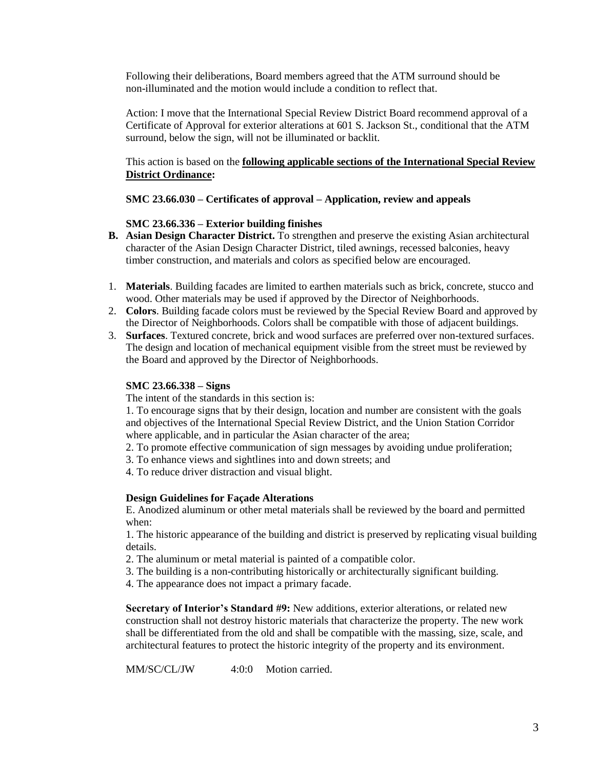Following their deliberations, Board members agreed that the ATM surround should be non-illuminated and the motion would include a condition to reflect that.

Action: I move that the International Special Review District Board recommend approval of a Certificate of Approval for exterior alterations at 601 S. Jackson St., conditional that the ATM surround, below the sign, will not be illuminated or backlit.

## This action is based on the **following applicable sections of the International Special Review District Ordinance:**

## **SMC 23.66.030 – Certificates of approval – Application, review and appeals**

## **SMC 23.66.336 – Exterior building finishes**

- **B. Asian Design Character District.** To strengthen and preserve the existing Asian architectural character of the Asian Design Character District, tiled awnings, recessed balconies, heavy timber construction, and materials and colors as specified below are encouraged.
- 1. **Materials**. Building facades are limited to earthen materials such as brick, concrete, stucco and wood. Other materials may be used if approved by the Director of Neighborhoods.
- 2. **Colors**. Building facade colors must be reviewed by the Special Review Board and approved by the Director of Neighborhoods. Colors shall be compatible with those of adjacent buildings.
- 3. **Surfaces**. Textured concrete, brick and wood surfaces are preferred over non-textured surfaces. The design and location of mechanical equipment visible from the street must be reviewed by the Board and approved by the Director of Neighborhoods.

#### **SMC 23.66.338 – Signs**

The intent of the standards in this section is:

1. To encourage signs that by their design, location and number are consistent with the goals and objectives of the International Special Review District, and the Union Station Corridor where applicable, and in particular the Asian character of the area;

- 2. To promote effective communication of sign messages by avoiding undue proliferation;
- 3. To enhance views and sightlines into and down streets; and
- 4. To reduce driver distraction and visual blight.

#### **Design Guidelines for Façade Alterations**

E. Anodized aluminum or other metal materials shall be reviewed by the board and permitted when:

1. The historic appearance of the building and district is preserved by replicating visual building details.

- 2. The aluminum or metal material is painted of a compatible color.
- 3. The building is a non-contributing historically or architecturally significant building.
- 4. The appearance does not impact a primary facade.

**Secretary of Interior's Standard #9:** New additions, exterior alterations, or related new construction shall not destroy historic materials that characterize the property. The new work shall be differentiated from the old and shall be compatible with the massing, size, scale, and architectural features to protect the historic integrity of the property and its environment.

MM/SC/CL/JW 4:0:0 Motion carried.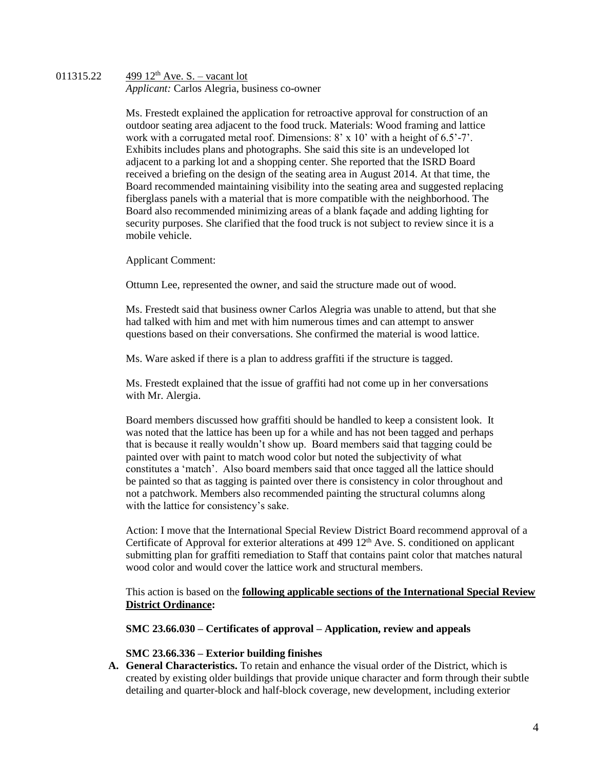## 011315.22  $499 \frac{12}^{\text{th}}$  Ave. S. – vacant lot *Applicant:* Carlos Alegria, business co-owner

Ms. Frestedt explained the application for retroactive approval for construction of an outdoor seating area adjacent to the food truck. Materials: Wood framing and lattice work with a corrugated metal roof. Dimensions: 8' x 10' with a height of 6.5'-7'. Exhibits includes plans and photographs. She said this site is an undeveloped lot adjacent to a parking lot and a shopping center. She reported that the ISRD Board received a briefing on the design of the seating area in August 2014. At that time, the Board recommended maintaining visibility into the seating area and suggested replacing fiberglass panels with a material that is more compatible with the neighborhood. The Board also recommended minimizing areas of a blank façade and adding lighting for security purposes. She clarified that the food truck is not subject to review since it is a mobile vehicle.

Applicant Comment:

Ottumn Lee, represented the owner, and said the structure made out of wood.

Ms. Frestedt said that business owner Carlos Alegria was unable to attend, but that she had talked with him and met with him numerous times and can attempt to answer questions based on their conversations. She confirmed the material is wood lattice.

Ms. Ware asked if there is a plan to address graffiti if the structure is tagged.

Ms. Frestedt explained that the issue of graffiti had not come up in her conversations with Mr. Alergia.

Board members discussed how graffiti should be handled to keep a consistent look. It was noted that the lattice has been up for a while and has not been tagged and perhaps that is because it really wouldn't show up. Board members said that tagging could be painted over with paint to match wood color but noted the subjectivity of what constitutes a 'match'. Also board members said that once tagged all the lattice should be painted so that as tagging is painted over there is consistency in color throughout and not a patchwork. Members also recommended painting the structural columns along with the lattice for consistency's sake.

Action: I move that the International Special Review District Board recommend approval of a Certificate of Approval for exterior alterations at 499 12<sup>th</sup> Ave. S. conditioned on applicant submitting plan for graffiti remediation to Staff that contains paint color that matches natural wood color and would cover the lattice work and structural members.

This action is based on the **following applicable sections of the International Special Review District Ordinance:** 

## **SMC 23.66.030 – Certificates of approval – Application, review and appeals**

#### **SMC 23.66.336 – Exterior building finishes**

**A. General Characteristics.** To retain and enhance the visual order of the District, which is created by existing older buildings that provide unique character and form through their subtle detailing and quarter-block and half-block coverage, new development, including exterior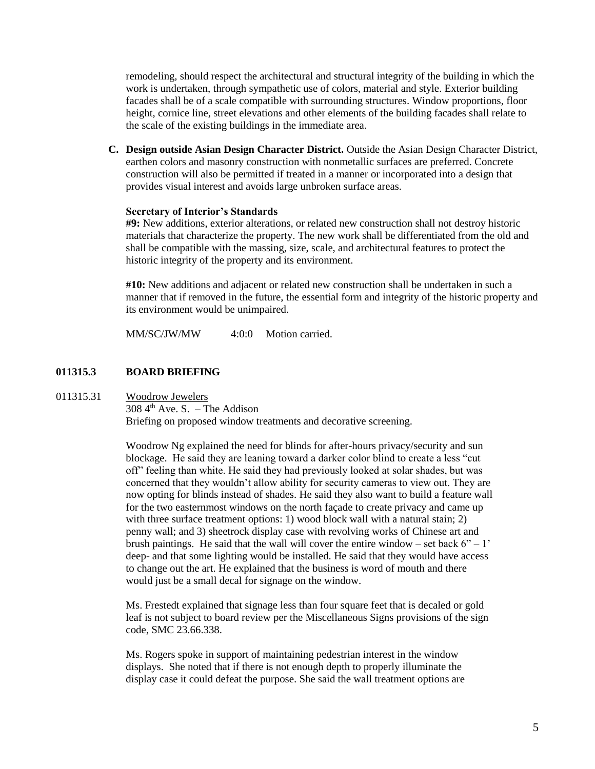remodeling, should respect the architectural and structural integrity of the building in which the work is undertaken, through sympathetic use of colors, material and style. Exterior building facades shall be of a scale compatible with surrounding structures. Window proportions, floor height, cornice line, street elevations and other elements of the building facades shall relate to the scale of the existing buildings in the immediate area.

**C. Design outside Asian Design Character District.** Outside the Asian Design Character District, earthen colors and masonry construction with nonmetallic surfaces are preferred. Concrete construction will also be permitted if treated in a manner or incorporated into a design that provides visual interest and avoids large unbroken surface areas.

#### **Secretary of Interior's Standards**

**#9:** New additions, exterior alterations, or related new construction shall not destroy historic materials that characterize the property. The new work shall be differentiated from the old and shall be compatible with the massing, size, scale, and architectural features to protect the historic integrity of the property and its environment.

**#10:** New additions and adjacent or related new construction shall be undertaken in such a manner that if removed in the future, the essential form and integrity of the historic property and its environment would be unimpaired.

MM/SC/JW/MW 4:0:0 Motion carried.

#### **011315.3 BOARD BRIEFING**

#### 011315.31 Woodrow Jewelers

 $308\,4^{\text{th}}$  Ave. S. – The Addison Briefing on proposed window treatments and decorative screening.

Woodrow Ng explained the need for blinds for after-hours privacy/security and sun blockage. He said they are leaning toward a darker color blind to create a less "cut off" feeling than white. He said they had previously looked at solar shades, but was concerned that they wouldn't allow ability for security cameras to view out. They are now opting for blinds instead of shades. He said they also want to build a feature wall for the two easternmost windows on the north façade to create privacy and came up with three surface treatment options: 1) wood block wall with a natural stain; 2) penny wall; and 3) sheetrock display case with revolving works of Chinese art and brush paintings. He said that the wall will cover the entire window – set back  $6" - 1'$ deep- and that some lighting would be installed. He said that they would have access to change out the art. He explained that the business is word of mouth and there would just be a small decal for signage on the window.

Ms. Frestedt explained that signage less than four square feet that is decaled or gold leaf is not subject to board review per the Miscellaneous Signs provisions of the sign code, SMC 23.66.338.

Ms. Rogers spoke in support of maintaining pedestrian interest in the window displays. She noted that if there is not enough depth to properly illuminate the display case it could defeat the purpose. She said the wall treatment options are